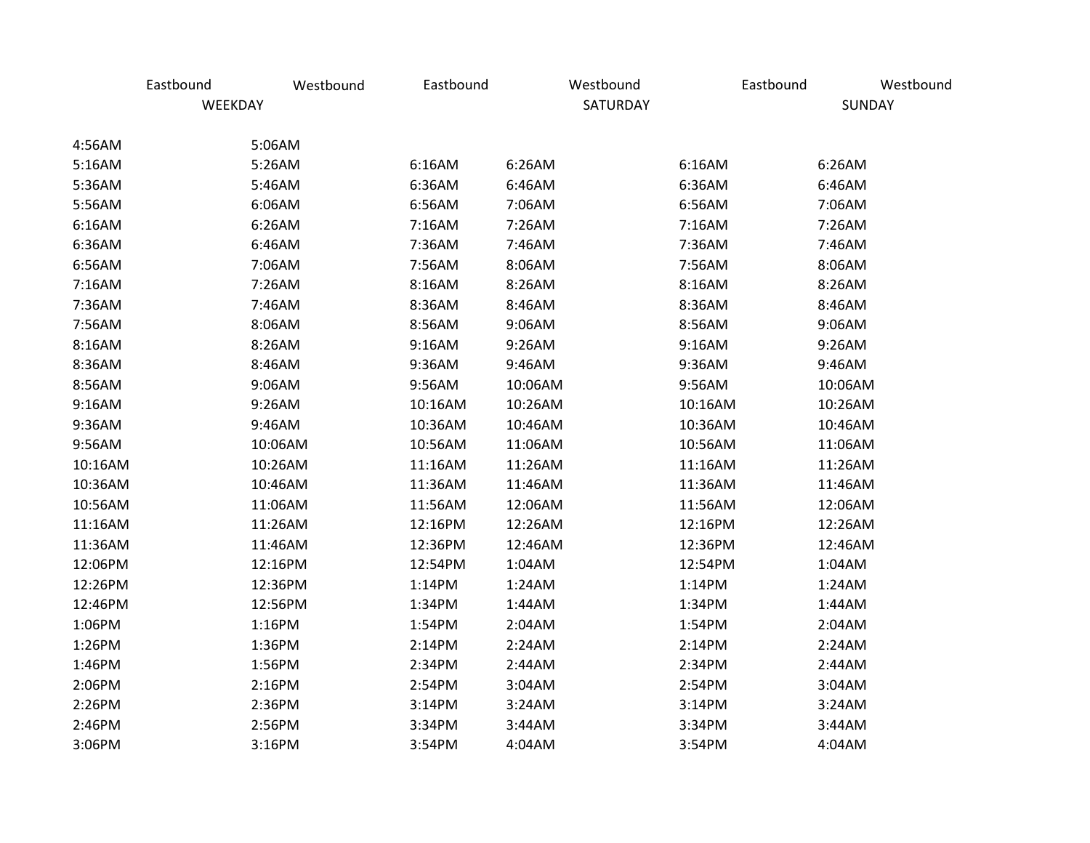|         | Eastbound | Westbound | Eastbound |         | Westbound | Eastbound | Westbound |
|---------|-----------|-----------|-----------|---------|-----------|-----------|-----------|
|         | WEEKDAY   |           |           |         | SATURDAY  |           | SUNDAY    |
| 4:56AM  |           | 5:06AM    |           |         |           |           |           |
| 5:16AM  |           | 5:26AM    | 6:16AM    | 6:26AM  |           | 6:16AM    | 6:26AM    |
| 5:36AM  |           | 5:46AM    | 6:36AM    | 6:46AM  |           | 6:36AM    | 6:46AM    |
| 5:56AM  |           | 6:06AM    | 6:56AM    | 7:06AM  |           | 6:56AM    | 7:06AM    |
| 6:16AM  |           | 6:26AM    | 7:16AM    | 7:26AM  |           | 7:16AM    | 7:26AM    |
| 6:36AM  |           | 6:46AM    | 7:36AM    | 7:46AM  |           | 7:36AM    | 7:46AM    |
| 6:56AM  |           | 7:06AM    | 7:56AM    | 8:06AM  |           | 7:56AM    | 8:06AM    |
| 7:16AM  |           | 7:26AM    | 8:16AM    | 8:26AM  |           | 8:16AM    | 8:26AM    |
| 7:36AM  |           | 7:46AM    | 8:36AM    | 8:46AM  |           | 8:36AM    | 8:46AM    |
| 7:56AM  |           | 8:06AM    | 8:56AM    | 9:06AM  |           | 8:56AM    | 9:06AM    |
| 8:16AM  |           | 8:26AM    | 9:16AM    | 9:26AM  |           | 9:16AM    | 9:26AM    |
| 8:36AM  |           | 8:46AM    | 9:36AM    | 9:46AM  |           | 9:36AM    | 9:46AM    |
| 8:56AM  |           | 9:06AM    | 9:56AM    | 10:06AM |           | 9:56AM    | 10:06AM   |
| 9:16AM  |           | 9:26AM    | 10:16AM   | 10:26AM |           | 10:16AM   | 10:26AM   |
| 9:36AM  |           | 9:46AM    | 10:36AM   | 10:46AM |           | 10:36AM   | 10:46AM   |
| 9:56AM  |           | 10:06AM   | 10:56AM   | 11:06AM |           | 10:56AM   | 11:06AM   |
| 10:16AM |           | 10:26AM   | 11:16AM   | 11:26AM |           | 11:16AM   | 11:26AM   |
| 10:36AM |           | 10:46AM   | 11:36AM   | 11:46AM |           | 11:36AM   | 11:46AM   |
| 10:56AM |           | 11:06AM   | 11:56AM   | 12:06AM |           | 11:56AM   | 12:06AM   |
| 11:16AM |           | 11:26AM   | 12:16PM   | 12:26AM |           | 12:16PM   | 12:26AM   |
| 11:36AM |           | 11:46AM   | 12:36PM   | 12:46AM |           | 12:36PM   | 12:46AM   |
| 12:06PM |           | 12:16PM   | 12:54PM   | 1:04AM  |           | 12:54PM   | 1:04AM    |
| 12:26PM |           | 12:36PM   | 1:14PM    | 1:24AM  |           | 1:14PM    | 1:24AM    |
| 12:46PM |           | 12:56PM   | 1:34PM    | 1:44AM  |           | 1:34PM    | 1:44AM    |
| 1:06PM  |           | 1:16PM    | 1:54PM    | 2:04AM  |           | 1:54PM    | 2:04AM    |
| 1:26PM  |           | 1:36PM    | 2:14PM    | 2:24AM  |           | 2:14PM    | 2:24AM    |
| 1:46PM  |           | 1:56PM    | 2:34PM    | 2:44AM  |           | 2:34PM    | 2:44AM    |
| 2:06PM  |           | 2:16PM    | 2:54PM    | 3:04AM  |           | 2:54PM    | 3:04AM    |
| 2:26PM  |           | 2:36PM    | 3:14PM    | 3:24AM  |           | 3:14PM    | 3:24AM    |
| 2:46PM  |           | 2:56PM    | 3:34PM    | 3:44AM  |           | 3:34PM    | 3:44AM    |
| 3:06PM  |           | 3:16PM    | 3:54PM    | 4:04AM  |           | 3:54PM    | 4:04AM    |